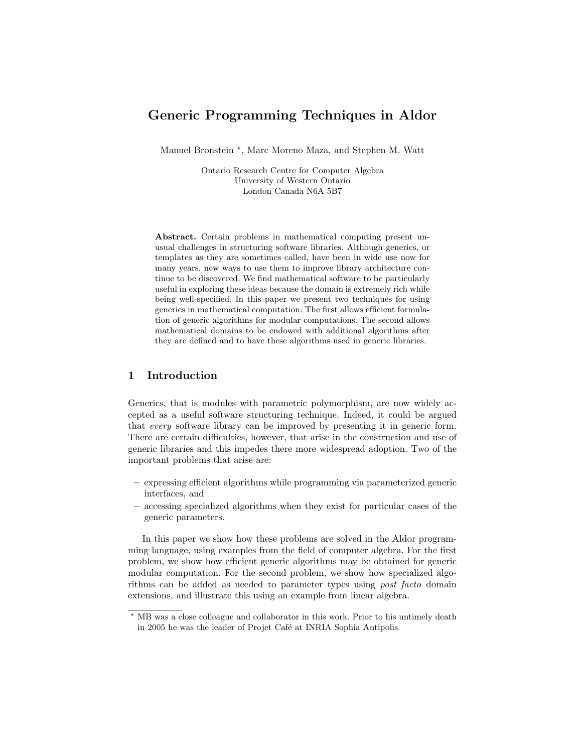# Generic Programming Techniques in Aldor

Manuel Bronstein<sup>\*</sup>, Marc Moreno Maza, and Stephen M. Watt

Ontario Research Centre for Computer Algebra University of Western Ontario London Canada N6A 5B7

Abstract. Certain problems in mathematical computing present unusual challenges in structuring software libraries. Although generics, or templates as they are sometimes called, have been in wide use now for many years, new ways to use them to improve library architecture continue to be discovered. We find mathematical software to be particularly useful in exploring these ideas because the domain is extremely rich while being well-specified. In this paper we present two techniques for using generics in mathematical computation: The first allows efficient formulation of generic algorithms for modular computations. The second allows mathematical domains to be endowed with additional algorithms after they are defined and to have these algorithms used in generic libraries.

## 1 Introduction

Generics, that is modules with parametric polymorphism, are now widely accepted as a useful software structuring technique. Indeed, it could be argued that every software library can be improved by presenting it in generic form. There are certain difficulties, however, that arise in the construction and use of generic libraries and this impedes there more widespread adoption. Two of the important problems that arise are:

- expressing efficient algorithms while programming via parameterized generic interfaces, and
- accessing specialized algorithms when they exist for particular cases of the generic parameters.

In this paper we show how these problems are solved in the Aldor programming language, using examples from the field of computer algebra. For the first problem, we show how efficient generic algorithms may be obtained for generic modular computation. For the second problem, we show how specialized algorithms can be added as needed to parameter types using post facto domain extensions, and illustrate this using an example from linear algebra.

<sup>?</sup> MB was a close colleague and collaborator in this work. Prior to his untimely death in 2005 he was the leader of Projet Café at INRIA Sophia Antipolis.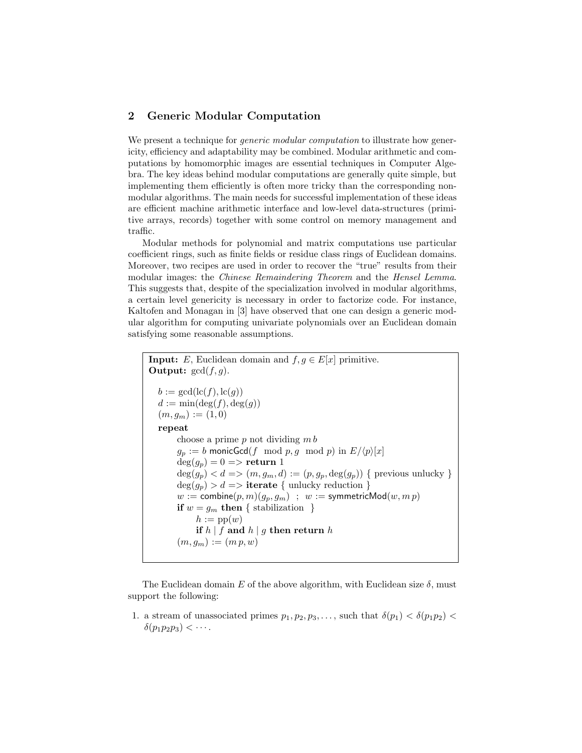### 2 Generic Modular Computation

We present a technique for *generic modular computation* to illustrate how genericity, efficiency and adaptability may be combined. Modular arithmetic and computations by homomorphic images are essential techniques in Computer Algebra. The key ideas behind modular computations are generally quite simple, but implementing them efficiently is often more tricky than the corresponding nonmodular algorithms. The main needs for successful implementation of these ideas are efficient machine arithmetic interface and low-level data-structures (primitive arrays, records) together with some control on memory management and traffic.

Modular methods for polynomial and matrix computations use particular coefficient rings, such as finite fields or residue class rings of Euclidean domains. Moreover, two recipes are used in order to recover the "true" results from their modular images: the Chinese Remaindering Theorem and the Hensel Lemma. This suggests that, despite of the specialization involved in modular algorithms, a certain level genericity is necessary in order to factorize code. For instance, Kaltofen and Monagan in [3] have observed that one can design a generic modular algorithm for computing univariate polynomials over an Euclidean domain satisfying some reasonable assumptions.

```
Input: E, Euclidean domain and f, g \in E[x] primitive.
Output: gcd(f, g).
  b := \gcd(\mathrm{lc}(f), \mathrm{lc}(g))d := \min(\deg(f), \deg(g))(m, g_m) := (1, 0)repeat
       choose a prime p not dividing m bg_p := b monicGcd(f mod p, g mod p) in E/\langle p \rangle [x]deg(g_p) = 0 \implies return 1
       \deg(g_p) < d \Longrightarrow (m,g_m,d) := (p,g_p,\deg(g_p)) { previous unlucky }
       deg(g_p) > d \impliesiterate { unlucky reduction }
       w := \text{combine}(p, m)(g_p, g_m); w := \text{symmetricMod}(w, m p)if w = q_m then { stabilization }
             h := \text{pp}(w)if h \mid f and h \mid g then return h
        (m, g_m) := (m p, w)
```
The Euclidean domain E of the above algorithm, with Euclidean size  $\delta$ , must support the following:

1. a stream of unassociated primes  $p_1, p_2, p_3, \ldots$ , such that  $\delta(p_1) < \delta(p_1, p_2)$  $\delta(p_1p_2p_3) < \cdots$ .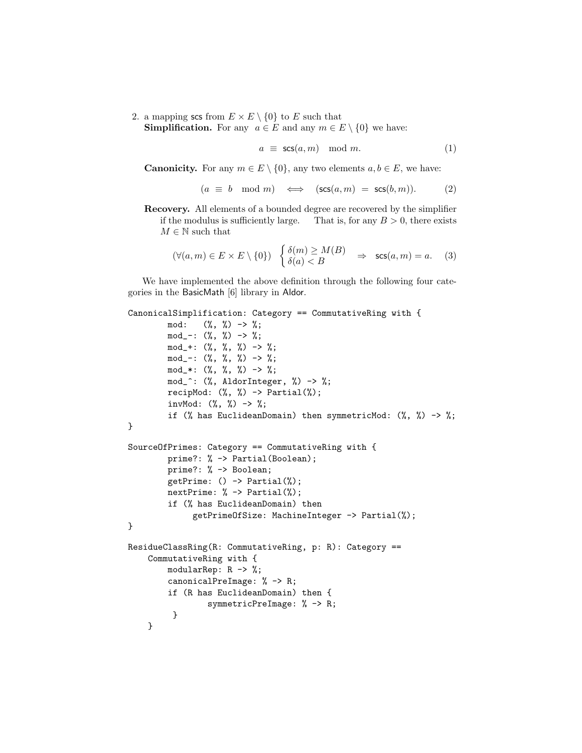2. a mapping scs from  $E \times E \setminus \{0\}$  to E such that **Simplification.** For any  $a \in E$  and any  $m \in E \setminus \{0\}$  we have:

$$
a \equiv \mathsf{scs}(a, m) \mod m. \tag{1}
$$

**Canonicity.** For any  $m \in E \setminus \{0\}$ , any two elements  $a, b \in E$ , we have:

$$
(a \equiv b \mod m) \iff (\mathsf{scs}(a, m) = \mathsf{scs}(b, m)). \tag{2}
$$

Recovery. All elements of a bounded degree are recovered by the simplifier if the modulus is sufficiently large. That is, for any  $B > 0$ , there exists  $M \in \mathbb{N}$  such that

$$
(\forall (a, m) \in E \times E \setminus \{0\}) \quad \begin{cases} \delta(m) \ge M(B) \\ \delta(a) < B \end{cases} \Rightarrow \quad \text{scs}(a, m) = a. \tag{3}
$$

We have implemented the above definition through the following four categories in the BasicMath [6] library in Aldor.

```
CanonicalSimplification: Category == CommutativeRing with {
        mod: (\%, \%) \rightarrow \%;
```

```
mod_-. (\%, \%) \rightarrow \%;mod_+: (\%, \%, \%) -> %;
        mod_-\text{: } (\%, \%, \%) \Rightarrow \%;
        mod_*: (\%, \%, \%) \Rightarrow %;
        mod_^: (%, AldorInteger, %) -> %;
        recipMod: (\%, \%) \rightarrow Partial(\%);
        invMod: (\%, \%) \rightarrow \%;if (% has EuclideanDomain) then symmetricMod: (%, %) -> %;
}
SourceOfPrimes: Category == CommutativeRing with {
        prime?: % -> Partial(Boolean);
        prime?: % -> Boolean;
        getPrime: () -> Partial(%);
        nextPrime: % -> Partial(%);
        if (% has EuclideanDomain) then
              getPrimeOfSize: MachineInteger -> Partial(%);
}
ResidueClassRing(R: CommutativeRing, p: R): Category ==
    CommutativeRing with {
        modularRep: R -> %;
        canonicalPreImage: % -> R;
        if (R has EuclideanDomain) then {
                  symmetricPreImage: % -> R;
          }
    }
```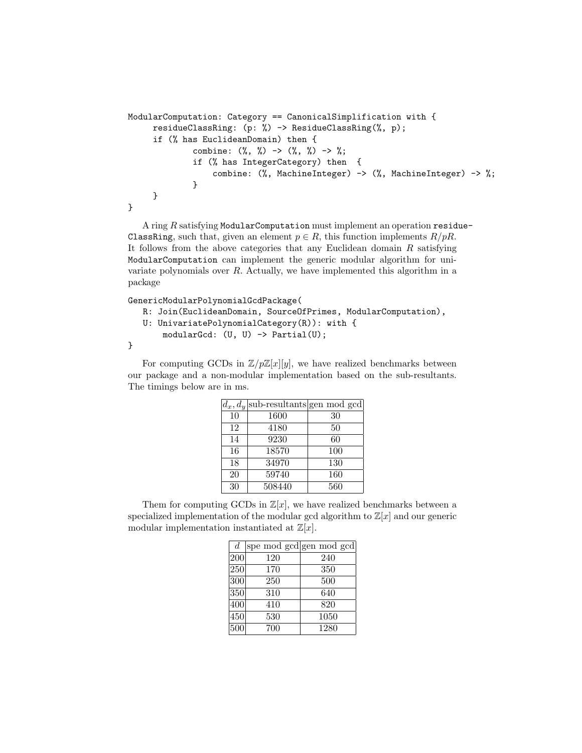```
ModularComputation: Category == CanonicalSimplification with {
     residueClassRing: (p: %) -> ResidueClassRing(%, p);
     if (% has EuclideanDomain) then {
              combine: (\%, \%) \rightarrow (\%, \%) \rightarrow \if (% has IntegerCategory) then {
                  combine: (%, MachineInteger) -> (%, MachineInteger) -> %;
              }
     }
}
```
A ring R satisfying ModularComputation must implement an operation residue-ClassRing, such that, given an element  $p \in R$ , this function implements  $R/pR$ . It follows from the above categories that any Euclidean domain  $R$  satisfying ModularComputation can implement the generic modular algorithm for univariate polynomials over  $R$ . Actually, we have implemented this algorithm in a package

GenericModularPolynomialGcdPackage(

```
R: Join(EuclideanDomain, SourceOfPrimes, ModularComputation),
```

```
U: UnivariatePolynomialCategory(R)): with {
```

```
modularGcd: (U, U) -> Partial(U);
```

```
}
```
For computing GCDs in  $\mathbb{Z}/p\mathbb{Z}[x][y]$ , we have realized benchmarks between our package and a non-modular implementation based on the sub-resultants. The timings below are in ms.

|    | $d_x, d_y$ sub-resultants gen mod gcd |     |
|----|---------------------------------------|-----|
| 10 | 1600                                  | 30  |
| 12 | 4180                                  | 50  |
| 14 | 9230                                  | 60  |
| 16 | 18570                                 | 100 |
| 18 | 34970                                 | 130 |
| 20 | 59740                                 | 160 |
| 30 | 508440                                | 560 |

Them for computing GCDs in  $\mathbb{Z}[x]$ , we have realized benchmarks between a specialized implementation of the modular gcd algorithm to  $\mathbb{Z}[x]$  and our generic modular implementation instantiated at  $\mathbb{Z}[x]$ .

| $\overline{d}$ | spe mod gcd gen mod gcd |      |
|----------------|-------------------------|------|
| 200            | 120                     | 240  |
| 250            | 170                     | 350  |
| 300            | 250                     | 500  |
| 350            | 310                     | 640  |
| 400            | 410                     | 820  |
| 450            | 530                     | 1050 |
| 500            | 700                     | 1280 |
|                |                         |      |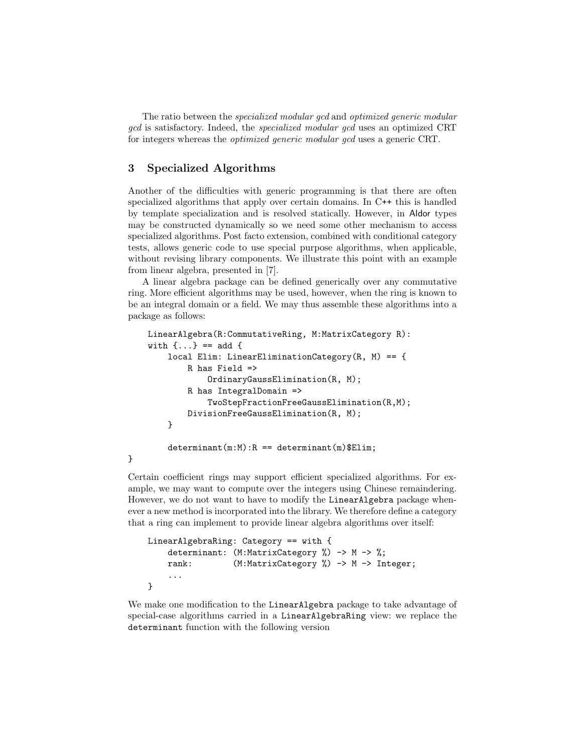The ratio between the specialized modular gcd and optimized generic modular gcd is satisfactory. Indeed, the specialized modular gcd uses an optimized CRT for integers whereas the optimized generic modular gcd uses a generic CRT.

## 3 Specialized Algorithms

Another of the difficulties with generic programming is that there are often specialized algorithms that apply over certain domains. In C++ this is handled by template specialization and is resolved statically. However, in Aldor types may be constructed dynamically so we need some other mechanism to access specialized algorithms. Post facto extension, combined with conditional category tests, allows generic code to use special purpose algorithms, when applicable, without revising library components. We illustrate this point with an example from linear algebra, presented in [7].

A linear algebra package can be defined generically over any commutative ring. More efficient algorithms may be used, however, when the ring is known to be an integral domain or a field. We may thus assemble these algorithms into a package as follows:

```
LinearAlgebra(R:CommutativeRing, M:MatrixCategory R):
with \{... \} == add \{local Elim: LinearEliminationCategory(R, M) == {
        R has Field =>
            OrdinaryGaussElimination(R, M);
        R has IntegralDomain =>
            TwoStepFractionFreeGaussElimination(R,M);
        DivisionFreeGaussElimination(R, M);
   }
   determinant(m:M):R == determinant(m)$Elim;
```
#### }

Certain coefficient rings may support efficient specialized algorithms. For example, we may want to compute over the integers using Chinese remaindering. However, we do not want to have to modify the LinearAlgebra package whenever a new method is incorporated into the library. We therefore define a category that a ring can implement to provide linear algebra algorithms over itself:

```
LinearAlgebraRing: Category == with {
   determinant: (M:MatrixCategory %) -> M -> %;
   rank: (M:MatrixCategory %) -> M -> Integer;
    ...
}
```
We make one modification to the LinearAlgebra package to take advantage of special-case algorithms carried in a LinearAlgebraRing view: we replace the determinant function with the following version